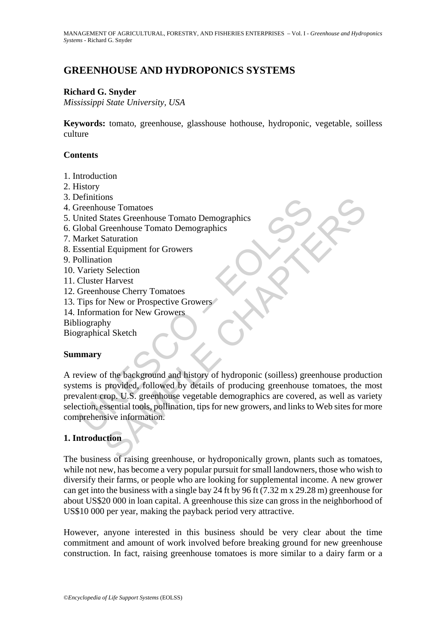# **GREENHOUSE AND HYDROPONICS SYSTEMS**

#### **Richard G. Snyder**

*Mississippi State University, USA* 

**Keywords:** tomato, greenhouse, glasshouse hothouse, hydroponic, vegetable, soilless culture

#### **Contents**

- 1. Introduction
- 2. History
- 3. Definitions
- 4. Greenhouse Tomatoes
- 5. United States Greenhouse Tomato Demographics
- 6. Global Greenhouse Tomato Demographics
- 7. Market Saturation
- 8. Essential Equipment for Growers
- 9. Pollination
- 10. Variety Selection
- 11. Cluster Harvest
- 12. Greenhouse Cherry Tomatoes
- 13. Tips for New or Prospective Growers
- 14. Information for New Growers
- Bibliography

Biographical Sketch

### **Summary**

Financions<br>
inited States Greenhouse Tomato Demographics<br>
inited States Greenhouse Tomato Demographics<br>
ilobal Greenhouse Tomato Demographics<br>
starket Saturation<br>
Sential Equipment for Growers<br>
Cluster Harvest<br>
Circulater The sum of the background and history of propriations of the background of the background and history of New or Prospective Growers<br>
SAMPLE CHAPTERS CHAPTERS (DETERM THE SURVEY) THAT AND SOME CHAPTER TO THE SURVEY TO THE S A review of the background and history of hydroponic (soilless) greenhouse production systems is provided, followed by details of producing greenhouse tomatoes, the most prevalent crop. U.S. greenhouse vegetable demographics are covered, as well as variety selection, essential tools, pollination, tips for new growers, and links to Web sites for more comprehensive information.

### **1. Introduction**

The business of raising greenhouse, or hydroponically grown, plants such as tomatoes, while not new, has become a very popular pursuit for small landowners, those who wish to diversify their farms, or people who are looking for supplemental income. A new grower can get into the business with a single bay 24 ft by 96 ft (7.32 m x 29.28 m) greenhouse for about US\$20 000 in loan capital. A greenhouse this size can gross in the neighborhood of US\$10 000 per year, making the payback period very attractive.

However, anyone interested in this business should be very clear about the time commitment and amount of work involved before breaking ground for new greenhouse construction. In fact, raising greenhouse tomatoes is more similar to a dairy farm or a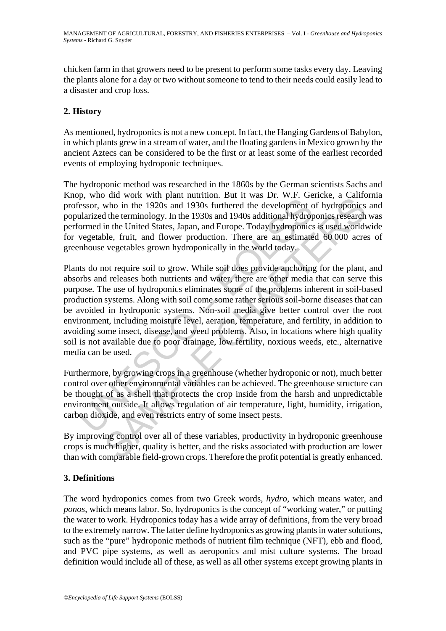chicken farm in that growers need to be present to perform some tasks every day. Leaving the plants alone for a day or two without someone to tend to their needs could easily lead to a disaster and crop loss.

## **2. History**

As mentioned, hydroponics is not a new concept. In fact, the Hanging Gardens of Babylon, in which plants grew in a stream of water, and the floating gardens in Mexico grown by the ancient Aztecs can be considered to be the first or at least some of the earliest recorded events of employing hydroponic techniques.

The hydroponic method was researched in the 1860s by the German scientists Sachs and Knop, who did work with plant nutrition. But it was Dr. W.F. Gericke, a California professor, who in the 1920s and 1930s furthered the development of hydroponics and popularized the terminology. In the 1930s and 1940s additional hydroponics research was performed in the United States, Japan, and Europe. Today hydroponics is used worldwide for vegetable, fruit, and flower production. There are an estimated 60 000 acres of greenhouse vegetables grown hydroponically in the world today.

From our wind putation. Dut it was Ent. The state of each wind putation and work wind putation and the designment columinatized the terminology. In the 1930s and 1930s and 1940s additional hydropormed in the United States, For an work with paraminatine to the was Dr. w.r. Suchies, a cantum<br>on the 1920s and 1930s furthered the development of hydroponics<br>the terminology. In the 1930s furthered the development of hydroponics<br>of the terminology Plants do not require soil to grow. While soil does provide anchoring for the plant, and absorbs and releases both nutrients and water, there are other media that can serve this purpose. The use of hydroponics eliminates some of the problems inherent in soil-based production systems. Along with soil come some rather serious soil-borne diseases that can be avoided in hydroponic systems. Non-soil media give better control over the root environment, including moisture level, aeration, temperature, and fertility, in addition to avoiding some insect, disease, and weed problems. Also, in locations where high quality soil is not available due to poor drainage, low fertility, noxious weeds, etc., alternative media can be used.

Furthermore, by growing crops in a greenhouse (whether hydroponic or not), much better control over other environmental variables can be achieved. The greenhouse structure can be thought of as a shell that protects the crop inside from the harsh and unpredictable environment outside. It allows regulation of air temperature, light, humidity, irrigation, carbon dioxide, and even restricts entry of some insect pests.

By improving control over all of these variables, productivity in hydroponic greenhouse crops is much higher, quality is better, and the risks associated with production are lower than with comparable field-grown crops. Therefore the profit potential is greatly enhanced.

### **3. Definitions**

The word hydroponics comes from two Greek words, *hydro*, which means water, and *ponos*, which means labor. So, hydroponics is the concept of "working water," or putting the water to work. Hydroponics today has a wide array of definitions, from the very broad to the extremely narrow. The latter define hydroponics as growing plants in water solutions, such as the "pure" hydroponic methods of nutrient film technique (NFT), ebb and flood, and PVC pipe systems, as well as aeroponics and mist culture systems. The broad definition would include all of these, as well as all other systems except growing plants in